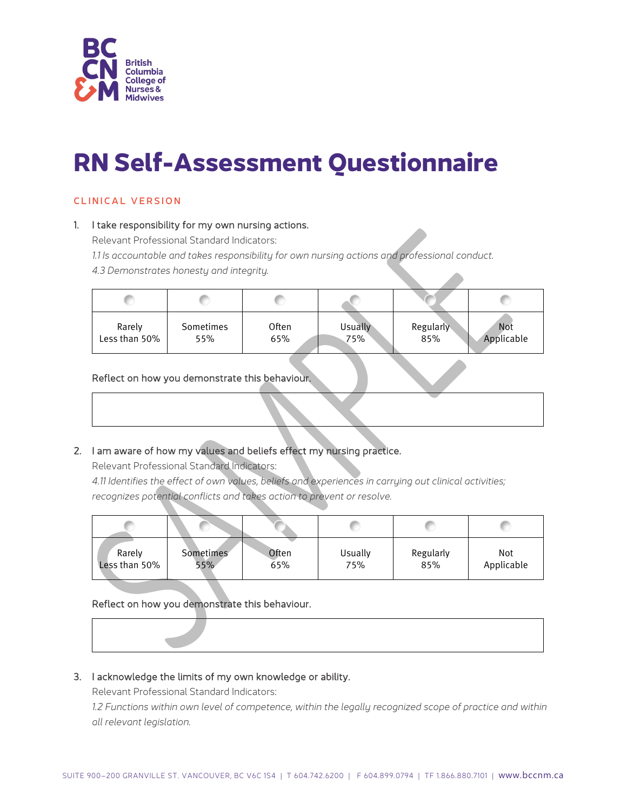

# **RN Self-Assessment Questionnaire**

# CLINICAL VERSION

## 1. I take responsibility for my own nursing actions.

Relevant Professional Standard Indicators:

*1.1 Is accountable and takes responsibility for own nursing actions and professional conduct.*

*4.3 Demonstrates honesty and integrity.*

| Rarely        | Sometimes | <b>Often</b> | <b>Usually</b> | <b>Regularly</b> | Not        |
|---------------|-----------|--------------|----------------|------------------|------------|
| Less than 50% | 55%       | 65%          | 75%            | 85%              | Applicable |

# Reflect on how you demonstrate this behaviour.

# 2. I am aware of how my values and beliefs effect my nursing practice.

Relevant Professional Standard Indicators:

*4.11 Identifies the effect of own values, beliefs and experiences in carrying out clinical activities; recognizes potential conflicts and takes action to prevent or resolve.*

| Rarely        | Sometimes | Often | Usually | Regularly | Not        |
|---------------|-----------|-------|---------|-----------|------------|
| Less than 50% | 55%       | 65%   | 75%     | 85%       | Applicable |

Reflect on how you demonstrate this behaviour.



# 3. I acknowledge the limits of my own knowledge or ability.

Relevant Professional Standard Indicators:

*1.2 Functions within own level of competence, within the legally recognized scope of practice and within all relevant legislation.*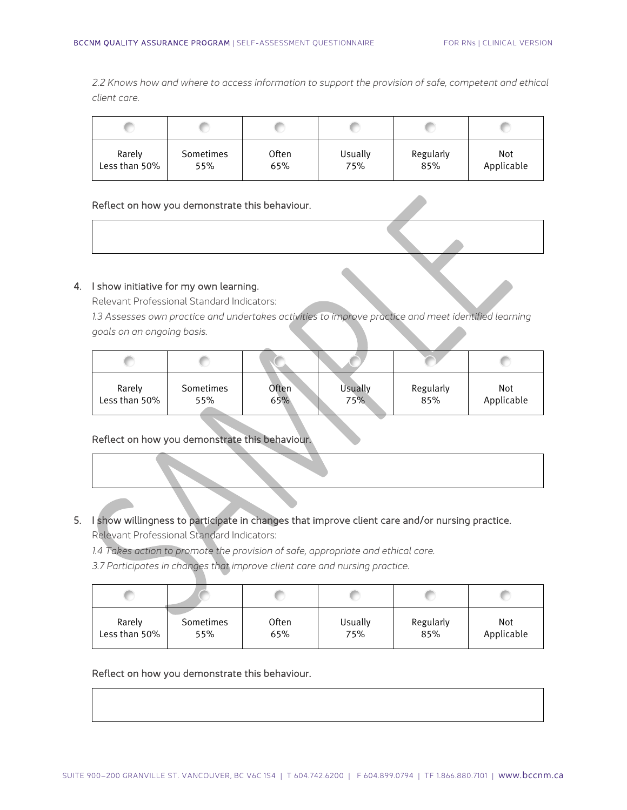*2.2 Knows how and where to access information to support the provision of safe, competent and ethical client care.*

| Rarely        | Sometimes | Often | Usually | Regularly | Not        |
|---------------|-----------|-------|---------|-----------|------------|
| Less than 50% | 55%       | 65%   | 75%     | 85%       | Applicable |

#### Reflect on how you demonstrate this behaviour.

# 4. I show initiative for my own learning.

Relevant Professional Standard Indicators:

*1.3 Assesses own practice and undertakes activities to improve practice and meet identified learning goals on an ongoing basis.*

| Rarely        | Sometimes | <b>Often</b> | Usually | Regularly | Not        |
|---------------|-----------|--------------|---------|-----------|------------|
| Less than 50% | 55%       | 65%          | 75%     | 85%       | Applicable |

# Reflect on how you demonstrate this behaviour.

# 5. I show willingness to participate in changes that improve client care and/or nursing practice.

Relevant Professional Standard Indicators:

*1.4 Takes action to promote the provision of safe, appropriate and ethical care.*

*3.7 Participates in changes that improve client care and nursing practice.*

| Rarely        | Sometimes | Often | Usually | Regularly | Not        |
|---------------|-----------|-------|---------|-----------|------------|
| Less than 50% | 55%       | 65%   | 75%     | 85%       | Applicable |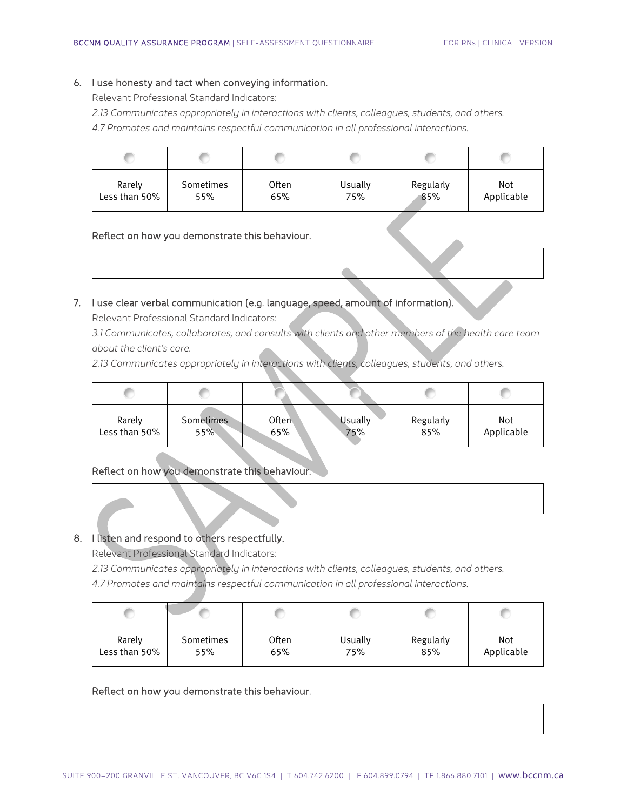#### 6. I use honesty and tact when conveying information.

Relevant Professional Standard Indicators:

*2.13 Communicates appropriately in interactions with clients, colleagues, students, and others.*

*4.7 Promotes and maintains respectful communication in all professional interactions.*

| Rarely        | Sometimes | <b>Often</b> | Usually | Regularly | Not        |
|---------------|-----------|--------------|---------|-----------|------------|
| Less than 50% | 55%       | 65%          | 75%     | 85%       | Applicable |

# Reflect on how you demonstrate this behaviour.

#### 7. I use clear verbal communication (e.g. language, speed, amount of information).

Relevant Professional Standard Indicators:

*3.1 Communicates, collaborates, and consults with clients and other members of the health care team about the client's care.*

*2.13 Communicates appropriately in interactions with clients, colleagues, students, and others.*

| 85%<br>Less than 50%<br>75%<br>55%<br>65% | Rarely | <b>Sometimes</b> | Often | <b>Usually</b> | Regularly | Not<br>Applicable |
|-------------------------------------------|--------|------------------|-------|----------------|-----------|-------------------|

## Reflect on how you demonstrate this behaviour.

## 8. I listen and respond to others respectfully.

Relevant Professional Standard Indicators:

*2.13 Communicates appropriately in interactions with clients, colleagues, students, and others.*

*4.7 Promotes and maintains respectful communication in all professional interactions.*

| Rarely        | Sometimes | Often | Usually | Regularly | Not        |
|---------------|-----------|-------|---------|-----------|------------|
| Less than 50% | 55%       | 65%   | 75%     | 85%       | Applicable |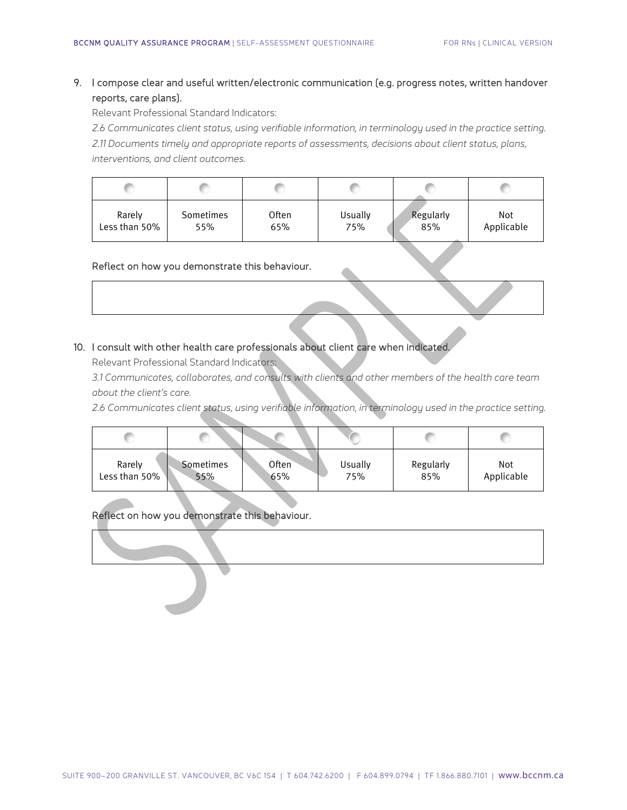# 9. I compose clear and useful written/electronic communication (e.g. progress notes, written handover reports, care plans).

Relevant Professional Standard Indicators:

*2.6 Communicates client status, using verifiable information, in terminology used in the practice setting. 2.11 Documents timely and appropriate reports of assessments, decisions about client status, plans, interventions, and client outcomes.*

| Rarely        | Sometimes | <b>Often</b> | Usually | Regularly | Not        |
|---------------|-----------|--------------|---------|-----------|------------|
| Less than 50% | 55%       | 65%          | 75%     | 85%       | Applicable |

## Reflect on how you demonstrate this behaviour.

# 10. I consult with other health care professionals about client care when indicated.

Relevant Professional Standard Indicators:

*3.1 Communicates, collaborates, and consults with clients and other members of the health care team about the client's care.*

*2.6 Communicates client status, using verifiable information, in terminology used in the practice setting.*

| Rarely        | Sometimes | Often | Usually | Regularly | Not        |
|---------------|-----------|-------|---------|-----------|------------|
| Less than 50% | 55%       | 65%   | 75%     | 85%       | Applicable |

Reflect on how you demonstrate this behaviour.

l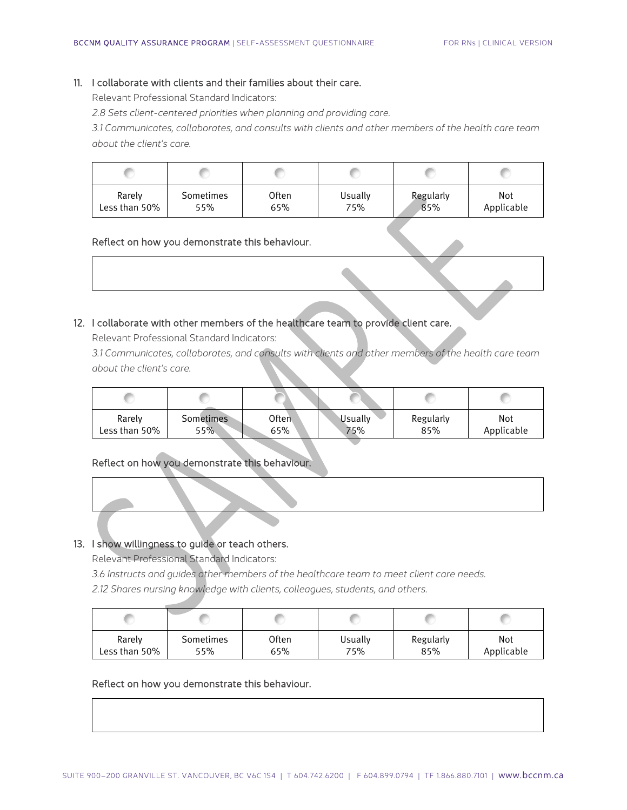# 11. I collaborate with clients and their families about their care.

Relevant Professional Standard Indicators:

*2.8 Sets client-centered priorities when planning and providing care.*

*3.1 Communicates, collaborates, and consults with clients and other members of the health care team about the client's care.*

| Rarely        | Sometimes | Often | Usually | Regularly | Not        |
|---------------|-----------|-------|---------|-----------|------------|
| Less than 50% | 55%       | 65%   | 75%     | 85%       | Applicable |

#### Reflect on how you demonstrate this behaviour.

# 12. I collaborate with other members of the healthcare team to provide client care.

Relevant Professional Standard Indicators:

*3.1 Communicates, collaborates, and consults with clients and other members of the health care team about the client's care.*

| Rarely        | <b>Sometimes</b> | Often <sup>1</sup> | Usually | Regularly | Not        |
|---------------|------------------|--------------------|---------|-----------|------------|
| Less than 50% | 55%              | 65%                | 75%     | 85%       | Applicable |

# Reflect on how you demonstrate this behaviour.

# 13. I show willingness to guide or teach others.

Relevant Professional Standard Indicators:

*3.6 Instructs and guides other members of the healthcare team to meet client care needs.*

*2.12 Shares nursing knowledge with clients, colleagues, students, and others.*

| Rarely        | Sometimes | Often | Usually | Regularly | Not        |
|---------------|-----------|-------|---------|-----------|------------|
| Less than 50% | 55%       | 65%   | 75%     | 85%       | Applicable |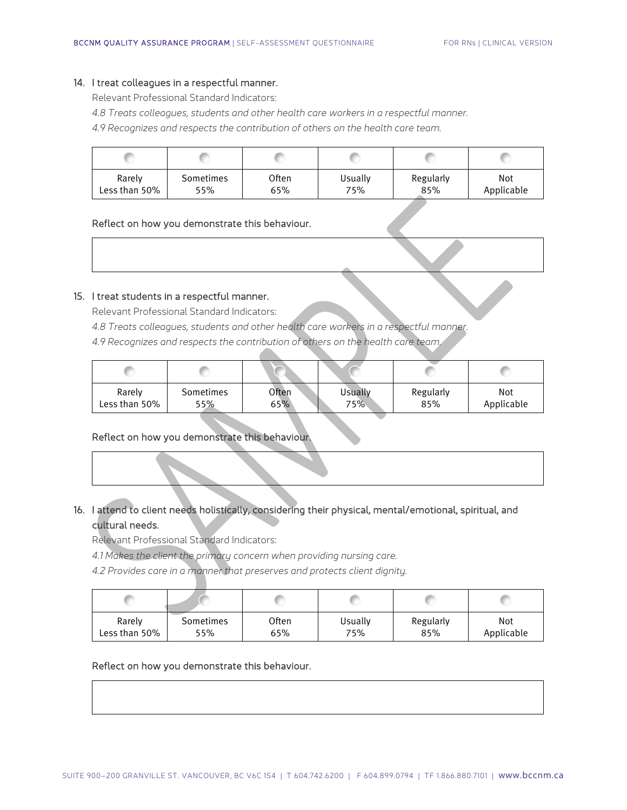#### 14. I treat colleagues in a respectful manner.

Relevant Professional Standard Indicators:

*4.8 Treats colleagues, students and other health care workers in a respectful manner.*

*4.9 Recognizes and respects the contribution of others on the health care team.*

| Rarely        | Sometimes | Often | Usually | Regularly | Not        |
|---------------|-----------|-------|---------|-----------|------------|
| Less than 50% | 55%       | 65%   | 75%     | 85%       | Applicable |

#### Reflect on how you demonstrate this behaviour.

#### 15. I treat students in a respectful manner.

Relevant Professional Standard Indicators:

*4.8 Treats colleagues, students and other health care workers in a respectful manner.*

*4.9 Recognizes and respects the contribution of others on the health care team.*

| Rarely        | Sometimes | <b>Often</b> | Usually | Regularly | Not        |
|---------------|-----------|--------------|---------|-----------|------------|
| Less than 50% | 55%       | 65%          | 75%     | 85%       | Applicable |

#### Reflect on how you demonstrate this behaviour.

| 16. I attend to client needs holistically, considering their physical, mental/emotional, spiritual, and |
|---------------------------------------------------------------------------------------------------------|
| المناوية والمترافع والمناويات                                                                           |

#### cultural needs.

Relevant Professional Standard Indicators:

*4.1 Makes the client the primary concern when providing nursing care.*

*4.2 Provides care in a manner that preserves and protects client dignity.*

| Rarely        | Sometimes | Often | Usually | Regularly | Not        |
|---------------|-----------|-------|---------|-----------|------------|
| Less than 50% | 55%       | 65%   | 75%     | 85%       | Applicable |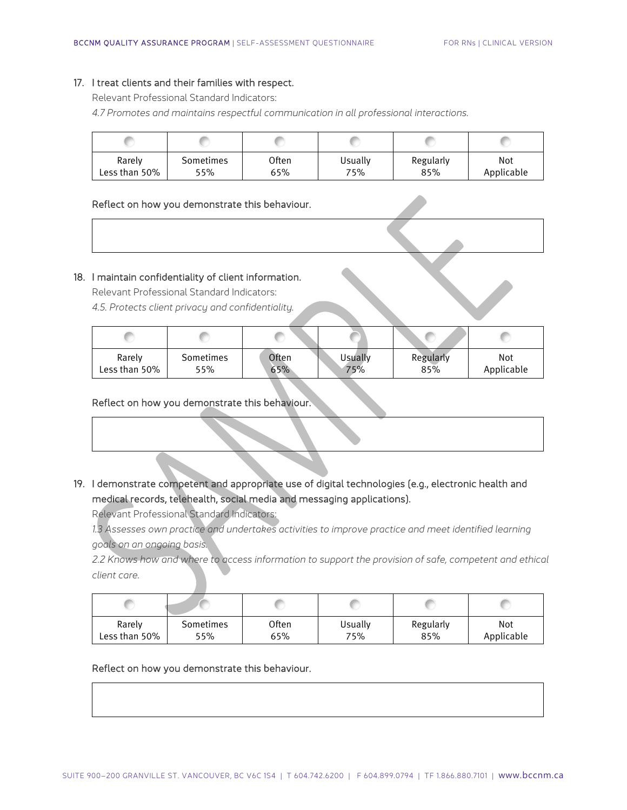## 17. I treat clients and their families with respect.

Relevant Professional Standard Indicators:

*4.7 Promotes and maintains respectful communication in all professional interactions.*

| Rarely        | Sometimes | Often | Usually | Regularly | Not        |
|---------------|-----------|-------|---------|-----------|------------|
| Less than 50% | 55%       | 65%   | 75%     | 85%       | Applicable |

#### Reflect on how you demonstrate this behaviour.

# 18. I maintain confidentiality of client information.

Relevant Professional Standard Indicators:

*4.5. Protects client privacy and confidentiality.*

| Rarely        | Sometimes | Often | Usually | Regularly | Not        |
|---------------|-----------|-------|---------|-----------|------------|
| Less than 50% | 55%       | 65%   | 75%     | 85%       | Applicable |

#### Reflect on how you demonstrate this behaviour.

| 19. I demonstrate competent and appropriate use of digital technologies (e.g., electronic health and |
|------------------------------------------------------------------------------------------------------|
| medical records, telehealth, social media and messaging applications).                               |

Relevant Professional Standard Indicators:

*1.3 Assesses own practice and undertakes activities to improve practice and meet identified learning goals on an ongoing basis.*

*2.2 Knows how and where to access information to support the provision of safe, competent and ethical client care.*

| Rarely        | Sometimes | Often | Usually | Regularly | Not        |
|---------------|-----------|-------|---------|-----------|------------|
| Less than 50% | 55%       | 65%   | 75%     | 85%       | Applicable |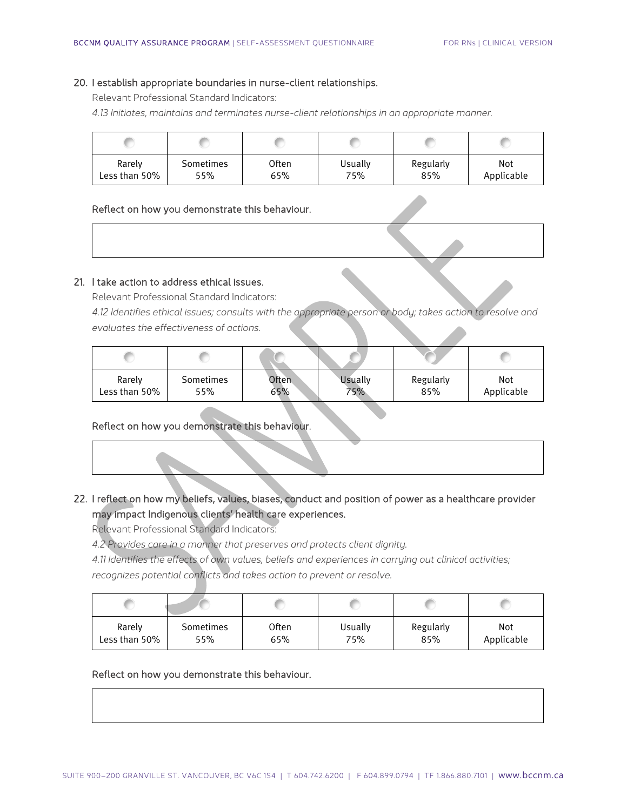#### 20. I establish appropriate boundaries in nurse-client relationships.

Relevant Professional Standard Indicators:

*4.13 Initiates, maintains and terminates nurse-client relationships in an appropriate manner.*

| Rarely        | Sometimes | Often | Usually | Regularly | Not        |
|---------------|-----------|-------|---------|-----------|------------|
| Less than 50% | 55%       | 65%   | 75%     | 85%       | Applicable |

#### Reflect on how you demonstrate this behaviour.

## 21. I take action to address ethical issues.

Relevant Professional Standard Indicators:

*4.12 Identifies ethical issues; consults with the appropriate person or body; takes action to resolve and evaluates the effectiveness of actions.*

| Rarely        | Sometimes | Often | Usually | Regularly | Not        |
|---------------|-----------|-------|---------|-----------|------------|
| Less than 50% | 55%       | 65%   | 75%     | 85%       | Applicable |

#### Reflect on how you demonstrate this behaviour.

# 22. I reflect on how my beliefs, values, biases, conduct and position of power as a healthcare provider may impact Indigenous clients' health care experiences.

Relevant Professional Standard Indicators:

*4.2 Provides care in a manner that preserves and protects client dignity.*

*4.11 Identifies the effects of own values, beliefs and experiences in carrying out clinical activities;* 

*recognizes potential conflicts and takes action to prevent or resolve.*

| Rarely        | Sometimes | Often | Usually | Regularly | Not        |
|---------------|-----------|-------|---------|-----------|------------|
| Less than 50% | 55%       | 65%   | 75%     | 85%       | Applicable |